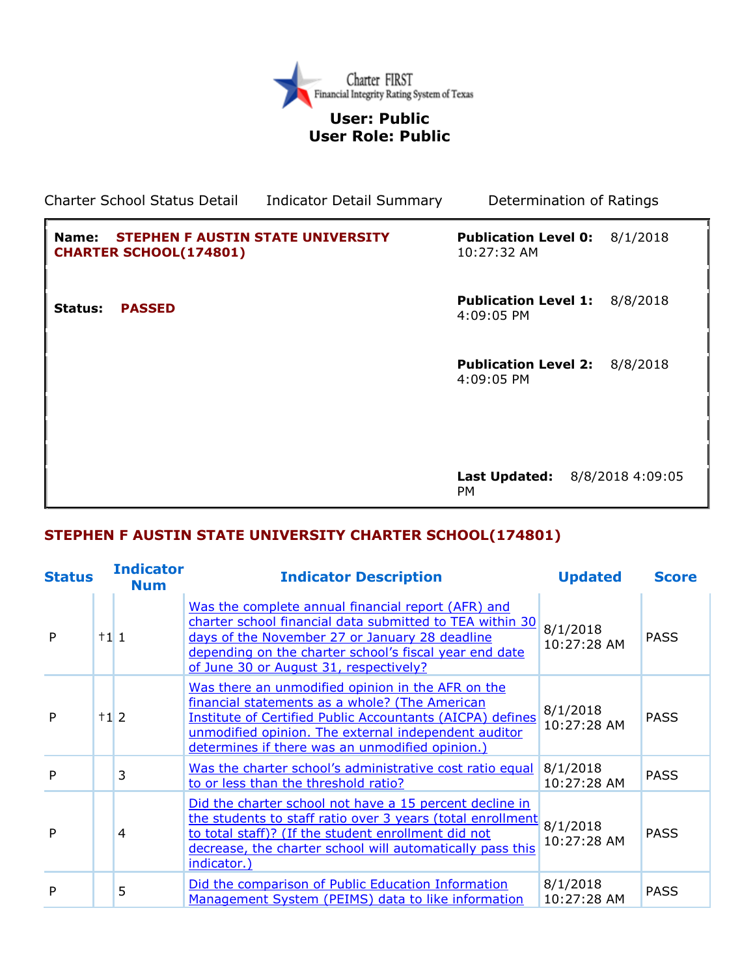

## **User: Public User Role: Public**

Charter School Status Detail Indicator Detail Summary Determination of Ratings **Name: STEPHEN F AUSTIN STATE UNIVERSITY CHARTER SCHOOL(174801) Publication Level 0:** 8/1/2018 10:27:32 AM **Status: PASSED Publication Level 1:** 8/8/2018 4:09:05 PM **Publication Level 2:** 8/8/2018 4:09:05 PM **Last Updated:** 8/8/2018 4:09:05 PM

## **STEPHEN F AUSTIN STATE UNIVERSITY CHARTER SCHOOL(174801)**

| <b>Status</b> |           | <b>Indicator</b><br><b>Num</b> | <b>Indicator Description</b>                                                                                                                                                                                                                                                | <b>Updated</b>          | <b>Score</b> |
|---------------|-----------|--------------------------------|-----------------------------------------------------------------------------------------------------------------------------------------------------------------------------------------------------------------------------------------------------------------------------|-------------------------|--------------|
| P             | $\pm$ 111 |                                | Was the complete annual financial report (AFR) and<br>charter school financial data submitted to TEA within 30<br>days of the November 27 or January 28 deadline<br>depending on the charter school's fiscal year end date<br>of June 30 or August 31, respectively?        | 8/1/2018<br>10:27:28 AM | <b>PASS</b>  |
| P             | $\pm$ 12  |                                | Was there an unmodified opinion in the AFR on the<br>financial statements as a whole? (The American<br>Institute of Certified Public Accountants (AICPA) defines<br>unmodified opinion. The external independent auditor<br>determines if there was an unmodified opinion.) | 8/1/2018<br>10:27:28 AM | <b>PASS</b>  |
| P             |           | 3                              | Was the charter school's administrative cost ratio equal<br>to or less than the threshold ratio?                                                                                                                                                                            | 8/1/2018<br>10:27:28 AM | <b>PASS</b>  |
| P             |           | 4                              | Did the charter school not have a 15 percent decline in<br>the students to staff ratio over 3 years (total enrollment<br>to total staff)? (If the student enrollment did not<br>decrease, the charter school will automatically pass this<br>indicator.)                    | 8/1/2018<br>10:27:28 AM | <b>PASS</b>  |
| P             |           | 5                              | Did the comparison of Public Education Information<br>Management System (PEIMS) data to like information                                                                                                                                                                    | 8/1/2018<br>10:27:28 AM | <b>PASS</b>  |